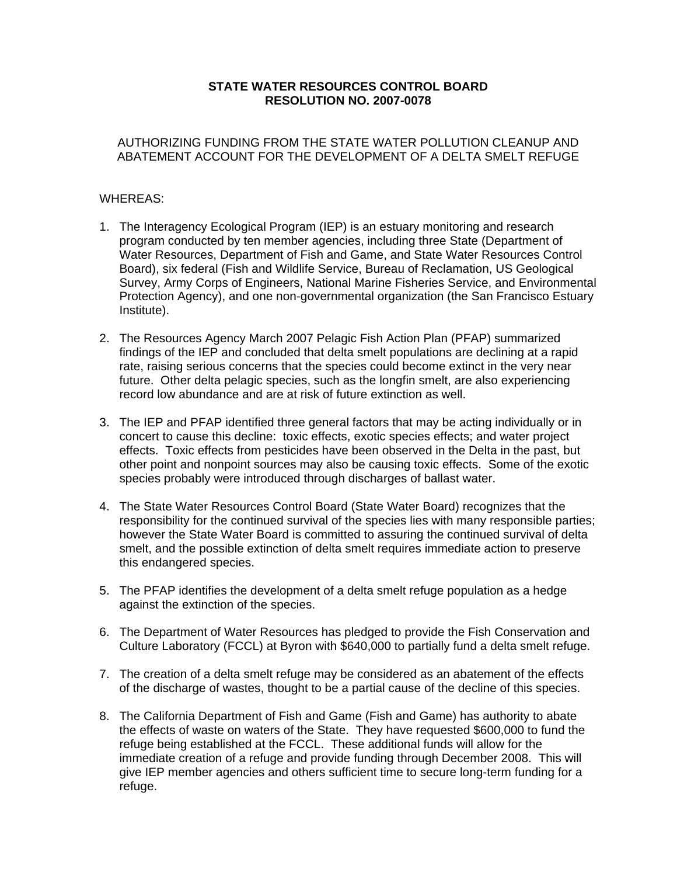## **STATE WATER RESOURCES CONTROL BOARD RESOLUTION NO. 2007-0078**

## AUTHORIZING FUNDING FROM THE STATE WATER POLLUTION CLEANUP AND ABATEMENT ACCOUNT FOR THE DEVELOPMENT OF A DELTA SMELT REFUGE

## WHEREAS:

- 1. The Interagency Ecological Program (IEP) is an estuary monitoring and research program conducted by ten member agencies, including three State (Department of Water Resources, Department of Fish and Game, and State Water Resources Control Board), six federal (Fish and Wildlife Service, Bureau of Reclamation, US Geological Survey, Army Corps of Engineers, National Marine Fisheries Service, and Environmental Protection Agency), and one non-governmental organization (the San Francisco Estuary Institute).
- 2. The Resources Agency March 2007 Pelagic Fish Action Plan (PFAP) summarized findings of the IEP and concluded that delta smelt populations are declining at a rapid rate, raising serious concerns that the species could become extinct in the very near future. Other delta pelagic species, such as the longfin smelt, are also experiencing record low abundance and are at risk of future extinction as well.
- 3. The IEP and PFAP identified three general factors that may be acting individually or in concert to cause this decline: toxic effects, exotic species effects; and water project effects. Toxic effects from pesticides have been observed in the Delta in the past, but other point and nonpoint sources may also be causing toxic effects. Some of the exotic species probably were introduced through discharges of ballast water.
- 4. The State Water Resources Control Board (State Water Board) recognizes that the responsibility for the continued survival of the species lies with many responsible parties; however the State Water Board is committed to assuring the continued survival of delta smelt, and the possible extinction of delta smelt requires immediate action to preserve this endangered species.
- 5. The PFAP identifies the development of a delta smelt refuge population as a hedge against the extinction of the species.
- 6. The Department of Water Resources has pledged to provide the Fish Conservation and Culture Laboratory (FCCL) at Byron with \$640,000 to partially fund a delta smelt refuge.
- 7. The creation of a delta smelt refuge may be considered as an abatement of the effects of the discharge of wastes, thought to be a partial cause of the decline of this species.
- 8. The California Department of Fish and Game (Fish and Game) has authority to abate the effects of waste on waters of the State. They have requested \$600,000 to fund the refuge being established at the FCCL. These additional funds will allow for the immediate creation of a refuge and provide funding through December 2008. This will give IEP member agencies and others sufficient time to secure long-term funding for a refuge.